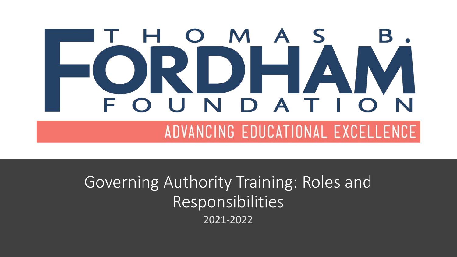#### S M  $\blacktriangle$  $\qquad \qquad$ N DA

ADVANCING EDUCATIONAL EXCELLENCE

Governing Authority Training: Roles and Responsibilities 2021-2022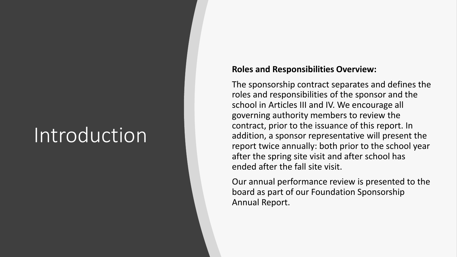### Introduction

#### **Roles and Responsibilities Overview:**

The sponsorship contract separates and defines the roles and responsibilities of the sponsor and the school in Articles III and IV. We encourage all governing authority members to review the contract, prior to the issuance of this report. In addition, a sponsor representative will present the report twice annually: both prior to the school year after the spring site visit and after school has ended after the fall site visit.

Our annual performance review is presented to the board as part of our Foundation Sponsorship Annual Report.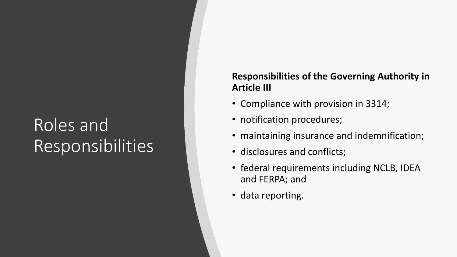### Roles and Responsibilities

#### **Responsibilities of the Governing Authority in Article III**

- Compliance with provision in 3314;
- notification procedures;
- maintaining insurance and indemnification;
- disclosures and conflicts;
- federal requirements including NCLB, IDEA and FERPA; and
- data reporting.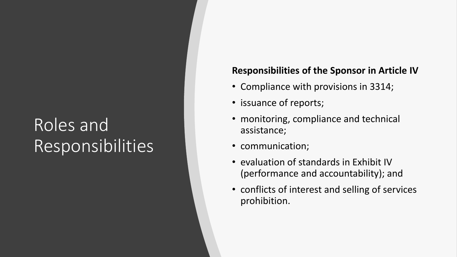### Roles and Responsibilities

#### **Responsibilities of the Sponsor in Article IV**

- Compliance with provisions in 3314;
- issuance of reports;
- monitoring, compliance and technical assistance;
- communication;
- evaluation of standards in Exhibit IV (performance and accountability); and
- conflicts of interest and selling of services prohibition.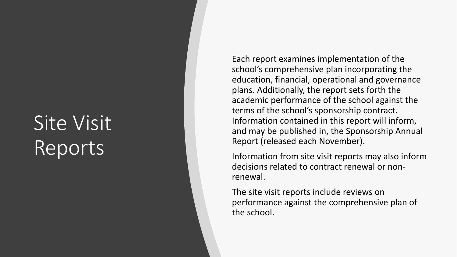### Site Visit Reports

Each report examines implementation of the school's comprehensive plan incorporating the education, financial, operational and governance plans. Additionally, the report sets forth the academic performance of the school against the terms of the school's sponsorship contract. Information contained in this report will inform, and may be published in, the Sponsorship Annual Report (released each November).

Information from site visit reports may also inform decisions related to contract renewal or non renewal.

The site visit reports include reviews on performance against the comprehensive plan of the school.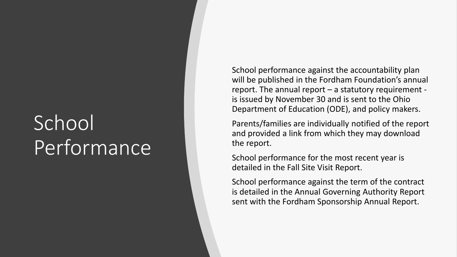### School Performance

School performance against the accountability plan will be published in the Fordham Foundation's annual report. The annual report - a statutory requirement is issued by November 30 and is sent to the Ohio Department of Education (ODE), and policy makers.

Parents/families are individually notified of the report and provided a link from which they may download the report.

School performance for the most recent year is detailed in the Fall Site Visit Report.

School performance against the term of the contract is detailed in the Annual Governing Authority Report sent with the Fordham Sponsorship Annual Report.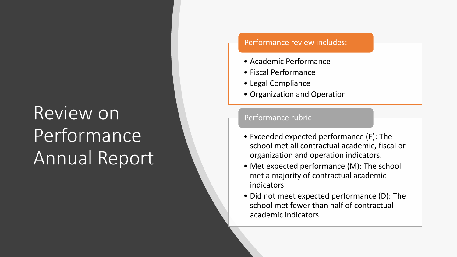### Review on Performance Annual Report

#### Performance review includes:

- Academic Performance
- Fiscal Performance
- Legal Compliance
- Organization and Operation

#### Performance rubric

- Exceeded expected performance (E): The school met all contractual academic, fiscal or organization and operation indicators.
- Met expected performance (M): The school met a majority of contractual academic indicators.
- Did not meet expected performance (D): The school met fewer than half of contractual academic indicators.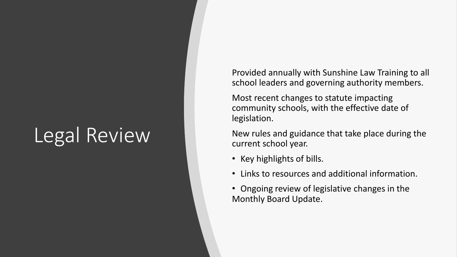### Legal Review

Provided annually with Sunshine Law Training to all school leaders and governing authority members.

Most recent changes to statute impacting community schools, with the effective date of legislation.

New rules and guidance that take place during the current school year.

- Key highlights of bills.
- Links to resources and additional information.
- Ongoing review of legislative changes in the Monthly Board Update.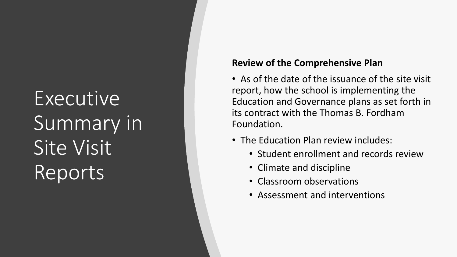# Executive Summary in Site Visit Reports

#### **Review of the Comprehensive Plan**

- As of the date of the issuance of the site visit report, how the school is implementing the Education and Governance plans as set forth in its contract with the Thomas B. Fordham Foundation.
- The Education Plan review includes:
	- Student enrollment and records review
	- Climate and discipline
	- Classroom observations
	- Assessment and interventions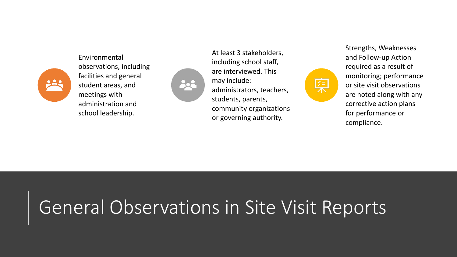

Environmental observations, including facilities and general student areas, and meetings with administration and school leadership.



At least 3 stakeholders, including school staff, are interviewed. This may include: administrators, teachers, students, parents, community organizations or governing authority.



Strengths, Weaknesses and Follow-up Action required as a result of monitoring; performance or site visit observations are noted along with any corrective action plans for performance or compliance.

### General Observations in Site Visit Reports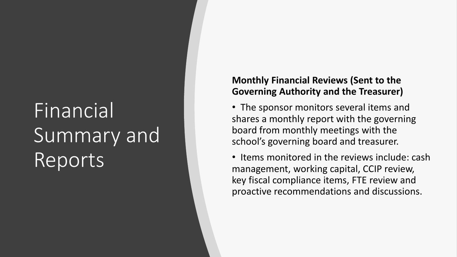# Financial Summary and Reports

#### **Monthly Financial Reviews (Sent to the Governing Authority and the Treasurer)**

• The sponsor monitors several items and shares a monthly report with the governing board from monthly meetings with the school's governing board and treasurer.

• Items monitored in the reviews include: cash management, working capital, CCIP review, key fiscal compliance items, FTE review and proactive recommendations and discussions.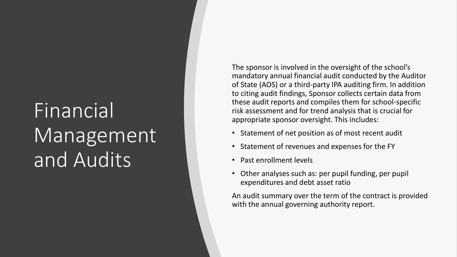## Financial Management<sup>'</sup> and Audits

The sponsor is involved in the oversight of the school's mandatory annual financial audit conducted by the Auditor of State (AOS) or a third-party IPA auditing firm. In addition to citing audit findings, Sponsor collects certain data from these audit reports and compiles them for school-specific risk assessment and for trend analysis that is crucial for appropriate sponsor oversight. This includes:

- Statement of net position as of most recent audit
- Statement of revenues and expenses for the FY
- Past enrollment levels
- Other analyses such as: per pupil funding, per pupil expenditures and debt asset ratio

An audit summary over the term of the contract is provided with the annual governing authority report.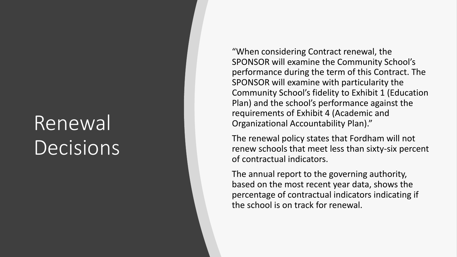### Renewal **Decisions**

"When considering Contract renewal, the SPONSOR will examine the Community School's performance during the term of this Contract. The SPONSOR will examine with particularity the Community School's fidelity to Exhibit 1 (Education Plan) and the school's performance against the requirements of Exhibit 4 (Academic and Organizational Accountability Plan)."

The renewal policy states that Fordham will not renew schools that meet less than sixty -six percent of contractual indicators.

The annual report to the governing authority, based on the most recent year data, shows the percentage of contractual indicators indicating if the school is on track for renewal.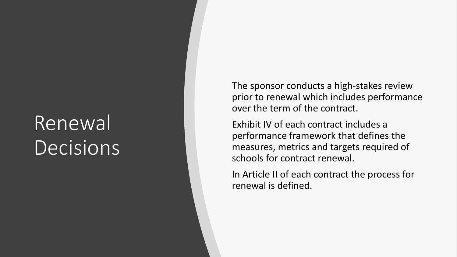### Renewal **Decisions**

The sponsor conducts a high -stakes review prior to renewal which includes performance over the term of the contract.

Exhibit IV of each contract includes a performance framework that defines the measures, metrics and targets required of schools for contract renewal.

In Article II of each contract the process for renewal is defined.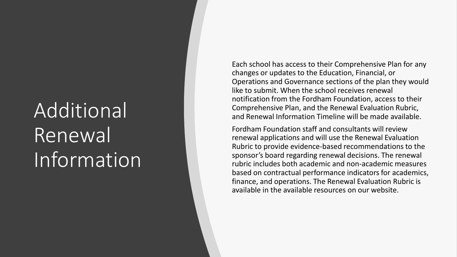# Additional Renewal Information

Each school has access to their Comprehensive Plan for any changes or updates to the Education, Financial, or Operations and Governance sections of the plan they would like to submit. When the school receives renewal notification from the Fordham Foundation, access to their Comprehensive Plan, and the Renewal Evaluation Rubric, and Renewal Information Timeline will be made available.

Fordham Foundation staff and consultants will review renewal applications and will use the Renewal Evaluation Rubric to provide evidence -based recommendations to the sponsor's board regarding renewal decisions. The renewal rubric includes both academic and non -academic measures based on contractual performance indicators for academics, finance, and operations. The Renewal Evaluation Rubric is available in the available resources on our website.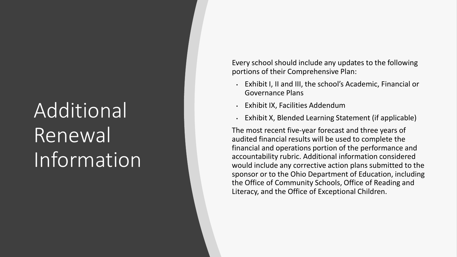# Additional Renewal Information

Every school should include any updates to the following portions of their Comprehensive Plan:

- Exhibit I, II and III, the school's Academic, Financial or Governance Plans
- Exhibit IX, Facilities Addendum
- Exhibit X, Blended Learning Statement (if applicable)

The most recent five -year forecast and three years of audited financial results will be used to complete the financial and operations portion of the performance and accountability rubric. Additional information considered would include any corrective action plans submitted to the sponsor or to the Ohio Department of Education, including the Office of Community Schools, Office of Reading and Literacy, and the Office of Exceptional Children.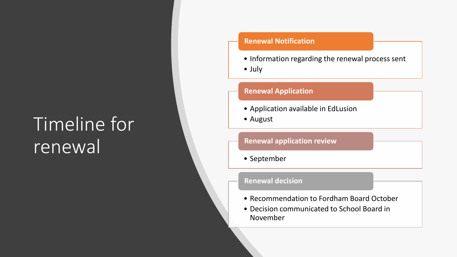### Timeline for renewal

#### **Renewal Notification**

• Information regarding the renewal process sent

• July

#### **Renewal Application**

- Application available in EdLusion
- August

#### **Renewal application review**

• September

#### **Renewal decision**

- Recommendation to Fordham Board October
- Decision communicated to School Board in November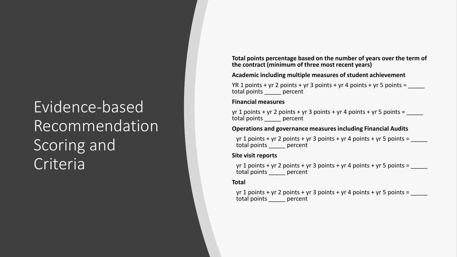### Evidence-based Recommendation Scoring and Criteria

**Total points percentage based on the number of years over the term of the contract (minimum of three most recent years)**

#### **Academic including multiple measures of student achievement**

YR 1 points + yr 2 points + yr 3 points + yr 4 points + yr 5 points =  $\frac{1}{2}$ total points \_\_\_\_\_ percent

#### **Financial measures**

yr 1 points + yr 2 points + yr 3 points + yr 4 points + yr 5 points = total points percent

#### **Operations and governance measures including Financial Audits**

yr 1 points + yr 2 points + yr 3 points + yr 4 points + yr 5 points = total points \_\_\_\_\_ percent

#### **Site visit reports**

yr 1 points + yr 2 points + yr 3 points + yr 4 points + yr 5 points = total points \_\_\_\_\_ percent

#### **Total**

yr 1 points + yr 2 points + yr 3 points + yr 4 points + yr 5 points =  $\frac{1}{\sqrt{1-\frac{1}{n}}}$ total points \_\_\_\_\_ percent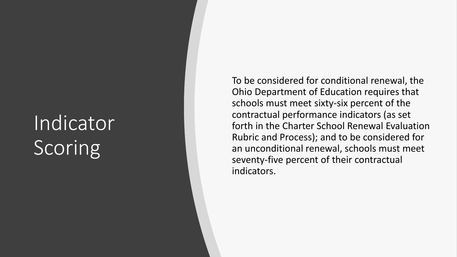## Indicator **Scoring**

To be considered for conditional renewal, the Ohio Department of Education requires that schools must meet sixty -six percent of the contractual performance indicators (as set forth in the Charter School Renewal Evaluation Rubric and Process); and to be considered for an unconditional renewal, schools must meet seventy -five percent of their contractual indicators.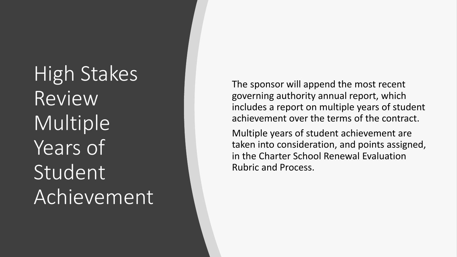High Stakes Review Multiple Years of Student<br>Achievement

The sponsor will append the most recent governing authority annual report, which includes a report on multiple years of student achievement over the terms of the contract.

Multiple years of student achievement are taken into consideration, and points assigned, in the Charter School Renewal Evaluation Rubric and Process.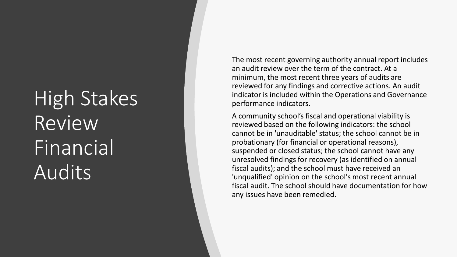# High Stakes Review Financial Audits

The most recent governing authority annual report includes an audit review over the term of the contract. At a minimum, the most recent three years of audits are reviewed for any findings and corrective actions. An audit indicator is included within the Operations and Governance performance indicators.

A community school's fiscal and operational viability is reviewed based on the following indicators: the school cannot be in 'unauditable' status; the school cannot be in probationary (for financial or operational reasons), suspended or closed status; the school cannot have any unresolved findings for recovery (as identified on annual fiscal audits); and the school must have received an 'unqualified' opinion on the school's most recent annual fiscal audit. The school should have documentation for how any issues have been remedied.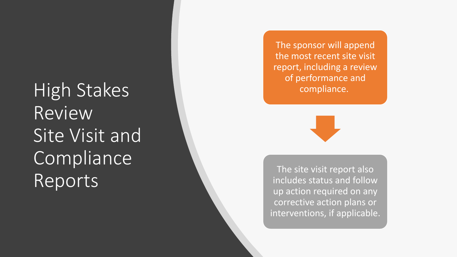High Stakes Review Site Visit and Compliance Reports

The sponsor will append the most recent site visit report, including a review of performance and compliance.



The site visit report also includes status and follow up action required on any corrective action plans or interventions, if applicable.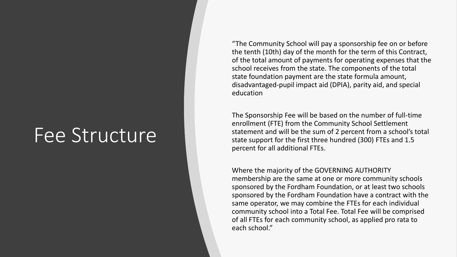### Fee Structure

"The Community School will pay a sponsorship fee on or before the tenth (10th) day of the month for the term of this Contract, of the total amount of payments for operating expenses that the school receives from the state. The components of the total state foundation payment are the state formula amount, disadvantaged-pupil impact aid (DPIA), parity aid, and special education

The Sponsorship Fee will be based on the number of full-time enrollment (FTE) from the Community School Settlement statement and will be the sum of 2 percent from a school's total state support for the first three hundred (300) FTEs and 1.5 percent for all additional FTEs.

Where the majority of the GOVERNING AUTHORITY membership are the same at one or more community schools sponsored by the Fordham Foundation, or at least two schools sponsored by the Fordham Foundation have a contract with the same operator, we may combine the FTEs for each individual community school into a Total Fee. Total Fee will be comprised of all FTEs for each community school, as applied pro rata to each school."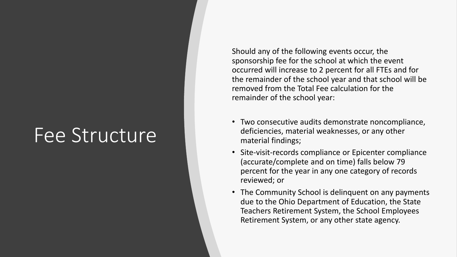### Fee Structure

Should any of the following events occur, the sponsorship fee for the school at which the event occurred will increase to 2 percent for all FTEs and for the remainder of the school year and that school will be removed from the Total Fee calculation for the remainder of the school year:

- Two consecutive audits demonstrate noncompliance, deficiencies, material weaknesses, or any other material findings;
- Site-visit-records compliance or Epicenter compliance (accurate/complete and on time) falls below 79 percent for the year in any one category of records reviewed; or
- The Community School is delinquent on any payments due to the Ohio Department of Education, the State Teachers Retirement System, the School Employees Retirement System, or any other state agency.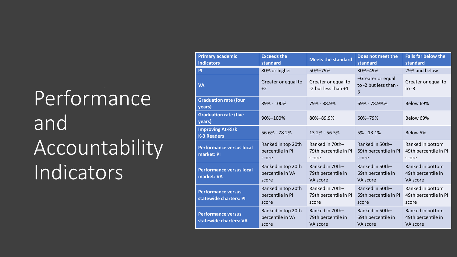# Performance and Accountability Indicators

| <b>Primary academic</b><br><b>indicators</b>        | <b>Exceeds the</b><br>standard                  | <b>Meets the standard</b>                         | Does not meet the<br>standard                     | <b>Falls far below the</b><br>standard             |
|-----------------------------------------------------|-------------------------------------------------|---------------------------------------------------|---------------------------------------------------|----------------------------------------------------|
| PI                                                  | 80% or higher                                   | 50%-79%                                           | 30%-49%                                           | 29% and below                                      |
| <b>VA</b>                                           | Greater or equal to<br>$+2$                     | Greater or equal to<br>-2 but less than +1        | -Greater or equal<br>to -2 but less than -<br>3   | Greater or equal to<br>to $-3$                     |
| <b>Graduation rate (four</b><br>years)              | 89% - 100%                                      | 79% - 88.9%                                       | 69% - 78.9%%                                      | Below 69%                                          |
| <b>Graduation rate (five</b><br>years)              | 90%-100%                                        | 80%-89.9%                                         | 60%-79%                                           | Below 69%                                          |
| <b>Improving At-Risk</b><br><b>K-3 Readers</b>      | 56.6% - 78.2%                                   | 13.2% - 56.5%                                     | $5% - 13.1%$                                      | Below 5%                                           |
| <b>Performance versus local</b><br>market: PI       | Ranked in top 20th<br>percentile in PI<br>score | Ranked in 70th-<br>79th percentile in PI<br>score | Ranked in 50th-<br>69th percentile in PI<br>score | Ranked in bottom<br>49th percentile in PI<br>score |
| <b>Performance versus local</b><br>market: VA       | Ranked in top 20th<br>percentile in VA<br>score | Ranked in 70th-<br>79th percentile in<br>VA score | Ranked in 50th-<br>69th percentile in<br>VA score | Ranked in bottom<br>49th percentile in<br>VA score |
| <b>Performance versus</b><br>statewide charters: PI | Ranked in top 20th<br>percentile in PI<br>score | Ranked in 70th-<br>79th percentile in PI<br>score | Ranked in 50th-<br>69th percentile in PI<br>score | Ranked in bottom<br>49th percentile in PI<br>score |
| <b>Performance versus</b><br>statewide charters: VA | Ranked in top 20th<br>percentile in VA<br>score | Ranked in 70th-<br>79th percentile in<br>VA score | Ranked in 50th-<br>69th percentile in<br>VA score | Ranked in bottom<br>49th percentile in<br>VA score |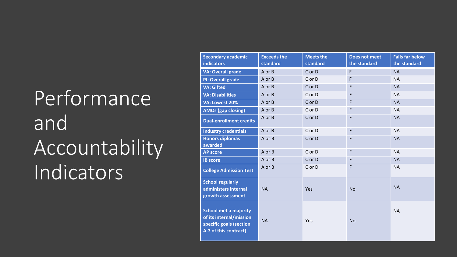# **Performance** and Accountability Indicators

| <b>Secondary academic</b><br><b>indicators</b>                                                              | <b>Exceeds the</b><br>standard | <b>Meets the</b><br>standard | <b>Does not meet</b><br>the standard | <b>Falls far below</b><br>the standard |
|-------------------------------------------------------------------------------------------------------------|--------------------------------|------------------------------|--------------------------------------|----------------------------------------|
| <b>VA: Overall grade</b>                                                                                    | A or B                         | C or D                       | F                                    | <b>NA</b>                              |
| <b>PI: Overall grade</b>                                                                                    | A or B                         | C or D                       | $\mathsf F$                          | <b>NA</b>                              |
| <b>VA: Gifted</b>                                                                                           | A or B                         | C or D                       | $\mathsf F$                          | <b>NA</b>                              |
| <b>VA: Disabilities</b>                                                                                     | A or B                         | C or D                       | F                                    | <b>NA</b>                              |
| VA: Lowest 20%                                                                                              | A or B                         | C or D                       | F                                    | <b>NA</b>                              |
| <b>AMOs (gap closing)</b>                                                                                   | A or B                         | C or D                       | F                                    | <b>NA</b>                              |
| <b>Dual-enrollment credits</b>                                                                              | A or B                         | C or D                       | F                                    | <b>NA</b>                              |
| <b>Industry credentials</b>                                                                                 | A or B                         | C or D                       | $\mathsf F$                          | <b>NA</b>                              |
| <b>Honors diplomas</b><br>awarded                                                                           | A or B                         | C or D                       | F                                    | <b>NA</b>                              |
| <b>AP score</b>                                                                                             | A or B                         | C or D                       | F                                    | <b>NA</b>                              |
| <b>IB score</b>                                                                                             | A or B                         | C or D                       | F                                    | <b>NA</b>                              |
| <b>College Admission Test</b>                                                                               | A or B                         | C or D                       | $\mathsf F$                          | <b>NA</b>                              |
| <b>School regularly</b><br>administers internal<br>growth assessment                                        | <b>NA</b>                      | Yes                          | <b>No</b>                            | <b>NA</b>                              |
| <b>School met a majority</b><br>of its internal/mission<br>specific goals (section<br>A.7 of this contract) | <b>NA</b>                      | Yes                          | <b>No</b>                            | <b>NA</b>                              |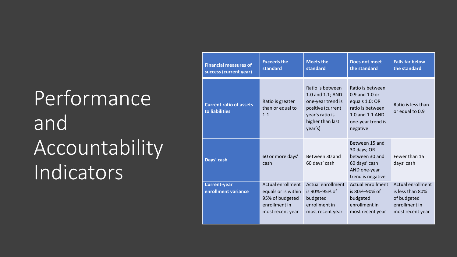# **Performance** and **Accountability** Indicators

| <b>Financial measures of</b><br>success (current year) | <b>Exceeds the</b><br>standard                                                                   | <b>Meets the</b><br>standard                                                                                                     | Does not meet<br>the standard                                                                                                    | <b>Falls far below</b><br>the standard                                                    |
|--------------------------------------------------------|--------------------------------------------------------------------------------------------------|----------------------------------------------------------------------------------------------------------------------------------|----------------------------------------------------------------------------------------------------------------------------------|-------------------------------------------------------------------------------------------|
| <b>Current ratio of assets</b><br>to liabilities       | Ratio is greater<br>than or equal to<br>1.1                                                      | Ratio is between<br>1.0 and 1.1; AND<br>one-year trend is<br>positive (current<br>year's ratio is<br>higher than last<br>year's) | Ratio is between<br>$0.9$ and $1.0$ or<br>equals 1.0; OR<br>ratio is between<br>1.0 and 1.1 AND<br>one-year trend is<br>negative | Ratio is less than<br>or equal to 0.9                                                     |
| Days' cash                                             | 60 or more days'<br>cash                                                                         | Between 30 and<br>60 days' cash                                                                                                  | Between 15 and<br>30 days; OR<br>between 30 and<br>60 days' cash<br>AND one-year<br>trend is negative                            | Fewer than 15<br>days' cash                                                               |
| <b>Current-year</b><br>enrollment variance             | Actual enrollment<br>equals or is within<br>95% of budgeted<br>enrollment in<br>most recent year | Actual enrollment<br>is 90%-95% of<br>budgeted<br>enrollment in<br>most recent year                                              | Actual enrollment<br>is $80\% - 90\%$ of<br>budgeted<br>enrollment in<br>most recent year                                        | Actual enrollment<br>is less than 80%<br>of budgeted<br>enrollment in<br>most recent year |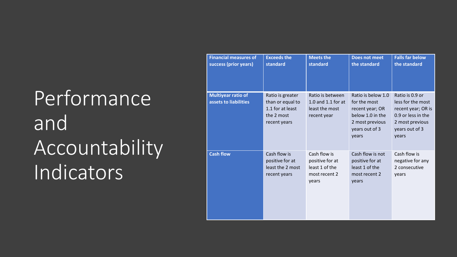# Performance<sup>1</sup> and Accountability Indicators

| <b>Financial measures of</b><br>success (prior years) | <b>Exceeds the</b><br>standard                                                         | <b>Meets the</b><br>standard                                                | <b>Does not meet</b><br>the standard                                                                                    | <b>Falls far below</b><br>the standard                                                                                         |
|-------------------------------------------------------|----------------------------------------------------------------------------------------|-----------------------------------------------------------------------------|-------------------------------------------------------------------------------------------------------------------------|--------------------------------------------------------------------------------------------------------------------------------|
| <b>Multiyear ratio of</b><br>assets to liabilities    | Ratio is greater<br>than or equal to<br>1.1 for at least<br>the 2 most<br>recent years | Ratio is between<br>1.0 and 1.1 for at<br>least the most<br>recent year     | Ratio is below 1.0<br>for the most<br>recent year; OR<br>below 1.0 in the<br>2 most previous<br>years out of 3<br>years | Ratio is 0.9 or<br>less for the most<br>recent year; OR is<br>0.9 or less in the<br>2 most previous<br>years out of 3<br>years |
| <b>Cash flow</b>                                      | Cash flow is<br>positive for at<br>least the 2 most<br>recent years                    | Cash flow is<br>positive for at<br>least 1 of the<br>most recent 2<br>years | Cash flow is not<br>positive for at<br>least 1 of the<br>most recent 2<br>years                                         | Cash flow is<br>negative for any<br>2 consecutive<br>years                                                                     |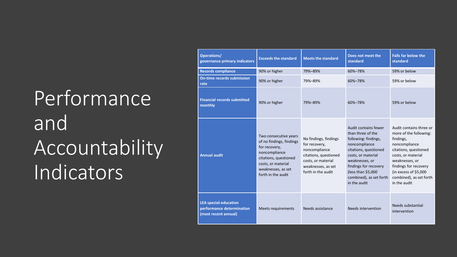# **Performance** and **Accountability** Indicators

| Operations/<br>governance primary indicators                                      | <b>Exceeds the standard</b>                                                                                                                                                    | <b>Meets the standard</b>                                                                                                                          | Does not meet the<br>standard                                                                                                                                                                                                                 | <b>Falls far below the</b><br>standard                                                                                                                                                                                                        |
|-----------------------------------------------------------------------------------|--------------------------------------------------------------------------------------------------------------------------------------------------------------------------------|----------------------------------------------------------------------------------------------------------------------------------------------------|-----------------------------------------------------------------------------------------------------------------------------------------------------------------------------------------------------------------------------------------------|-----------------------------------------------------------------------------------------------------------------------------------------------------------------------------------------------------------------------------------------------|
| <b>Records compliance</b>                                                         | 90% or higher                                                                                                                                                                  | 79%-89%                                                                                                                                            | 60%-78%                                                                                                                                                                                                                                       | 59% or below                                                                                                                                                                                                                                  |
| <b>On-time records submission</b><br>rate                                         | 90% or higher                                                                                                                                                                  | 79%-89%                                                                                                                                            | 60%-78%                                                                                                                                                                                                                                       | 59% or below                                                                                                                                                                                                                                  |
| <b>Financial records submitted</b><br>monthly                                     | 90% or higher                                                                                                                                                                  | 79%-89%                                                                                                                                            | 60%-78%                                                                                                                                                                                                                                       | 59% or below                                                                                                                                                                                                                                  |
| <b>Annual audit</b>                                                               | Two consecutive years<br>of no findings, findings<br>for recovery,<br>noncompliance<br>citations, questioned<br>costs, or material<br>weaknesses, as set<br>forth in the audit | No findings, findings<br>for recovery,<br>noncompliance<br>citations, questioned<br>costs, or material<br>weaknesses, as set<br>forth in the audit | Audit contains fewer<br>than three of the<br>following: findings,<br>noncompliance<br>citations, questioned<br>costs, or material<br>weaknesses, or<br>findings for recovery<br>(less than \$5,000<br>combined), as set forth<br>in the audit | Audit contains three or<br>more of the following:<br>findings,<br>noncompliance<br>citations, questioned<br>costs, or material<br>weaknesses, or<br>findings for recovery<br>(in excess of \$5,000<br>combined), as set forth<br>in the audit |
| <b>LEA special-education</b><br>performance determination<br>(most recent annual) | Meets requirements                                                                                                                                                             | Needs assistance                                                                                                                                   | Needs intervention                                                                                                                                                                                                                            | Needs substantial<br>intervention                                                                                                                                                                                                             |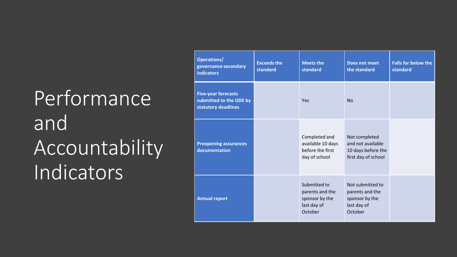# Performance<sup>1</sup> and Accountability Indicators

| Operations/<br>governance secondary<br><b>indicators</b>                     | <b>Exceeds the</b><br>standard | <b>Meets the</b><br>standard                                                | <b>Does not meet</b><br>the standard                                            | <b>Falls far below the</b><br>standard |
|------------------------------------------------------------------------------|--------------------------------|-----------------------------------------------------------------------------|---------------------------------------------------------------------------------|----------------------------------------|
| <b>Five-year forecasts</b><br>submitted to the ODE by<br>statutory deadlines |                                | Yes                                                                         | <b>No</b>                                                                       |                                        |
| <b>Preopening assurances</b><br>documentation                                |                                | Completed and<br>available 10 days<br>before the first<br>day of school     | Not completed<br>and not available<br>10 days before the<br>first day of school |                                        |
| <b>Annual report</b>                                                         |                                | Submitted to<br>parents and the<br>sponsor by the<br>last day of<br>October | Not submitted to<br>parents and the<br>sponsor by the<br>last day of<br>October |                                        |